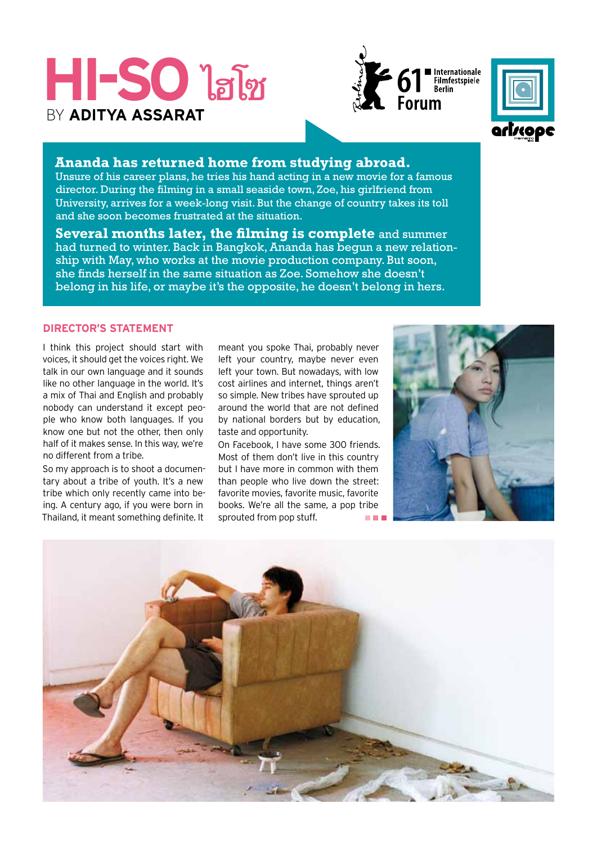# **Hi-So** ไฮโซ By **Aditya Assarat**





## **Ananda has returned home from studying abroad.**

Unsure of his career plans, he tries his hand acting in a new movie for a famous director. During the filming in a small seaside town, Zoe, his girlfriend from University, arrives for a week-long visit. But the change of country takes its toll and she soon becomes frustrated at the situation.

**Several months later, the filming is complete** and summer had turned to winter. Back in Bangkok, Ananda has begun a new relationship with May, who works at the movie production company. But soon, she finds herself in the same situation as Zoe. Somehow she doesn't belong in his life, or maybe it's the opposite, he doesn't belong in hers.

## **Director's Statement**

I think this project should start with voices, it should get the voices right. We talk in our own language and it sounds like no other language in the world. It's a mix of Thai and English and probably nobody can understand it except people who know both languages. If you know one but not the other, then only half of it makes sense. In this way, we're no different from a tribe.

So my approach is to shoot a documentary about a tribe of youth. It's a new tribe which only recently came into being. A century ago, if you were born in Thailand, it meant something definite. It

meant you spoke Thai, probably never left your country, maybe never even left your town. But nowadays, with low cost airlines and internet, things aren't so simple. New tribes have sprouted up around the world that are not defined by national borders but by education, taste and opportunity.

On Facebook, I have some 300 friends. Most of them don't live in this country but I have more in common with them than people who live down the street: favorite movies, favorite music, favorite books. We're all the same, a pop tribe sprouted from pop stuff.